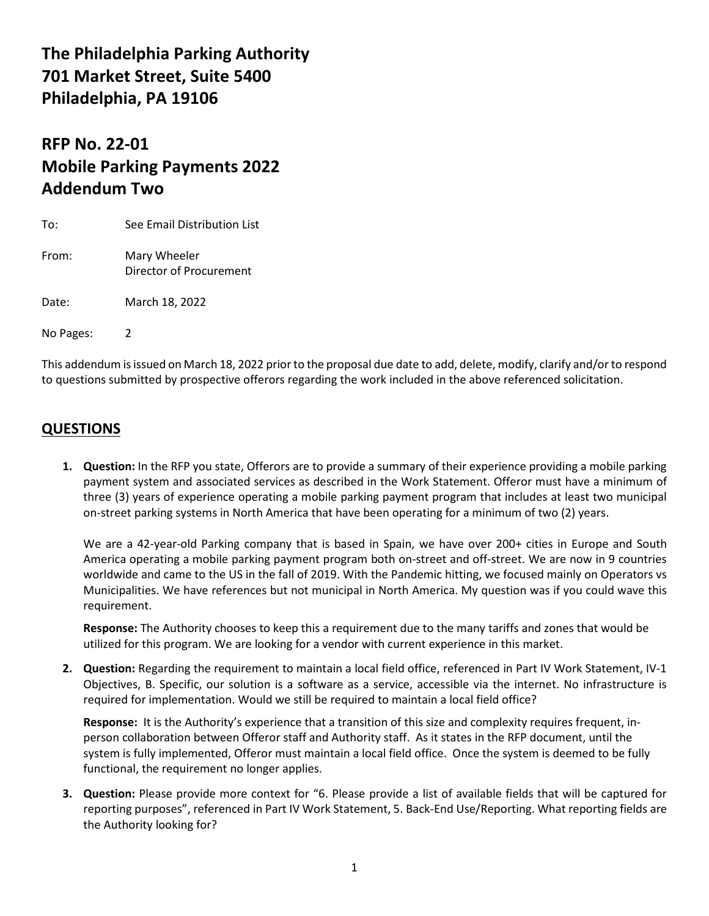## **The Philadelphia Parking Authority 701 Market Street, Suite 5400 Philadelphia, PA 19106**

# **RFP No. 22-01 Mobile Parking Payments 2022 Addendum Two**

| To:       | See Email Distribution List             |
|-----------|-----------------------------------------|
| From:     | Mary Wheeler<br>Director of Procurement |
| Date:     | March 18, 2022                          |
| No Pages: |                                         |

This addendum is issued on March 18, 2022 priorto the proposal due date to add, delete, modify, clarify and/or to respond to questions submitted by prospective offerors regarding the work included in the above referenced solicitation.

### **QUESTIONS**

**1. Question:** In the RFP you state, Offerors are to provide a summary of their experience providing a mobile parking payment system and associated services as described in the Work Statement. Offeror must have a minimum of three (3) years of experience operating a mobile parking payment program that includes at least two municipal on-street parking systems in North America that have been operating for a minimum of two (2) years.

We are a 42-year-old Parking company that is based in Spain, we have over 200+ cities in Europe and South America operating a mobile parking payment program both on-street and off-street. We are now in 9 countries worldwide and came to the US in the fall of 2019. With the Pandemic hitting, we focused mainly on Operators vs Municipalities. We have references but not municipal in North America. My question was if you could wave this requirement.

**Response:** The Authority chooses to keep this a requirement due to the many tariffs and zones that would be utilized for this program. We are looking for a vendor with current experience in this market.

**2. Question:** Regarding the requirement to maintain a local field office, referenced in Part IV Work Statement, IV-1 Objectives, B. Specific, our solution is a software as a service, accessible via the internet. No infrastructure is required for implementation. Would we still be required to maintain a local field office?

**Response:** It is the Authority's experience that a transition of this size and complexity requires frequent, inperson collaboration between Offeror staff and Authority staff. As it states in the RFP document, until the system is fully implemented, Offeror must maintain a local field office. Once the system is deemed to be fully functional, the requirement no longer applies.

**3. Question:** Please provide more context for "6. Please provide a list of available fields that will be captured for reporting purposes", referenced in Part IV Work Statement, 5. Back-End Use/Reporting. What reporting fields are the Authority looking for?